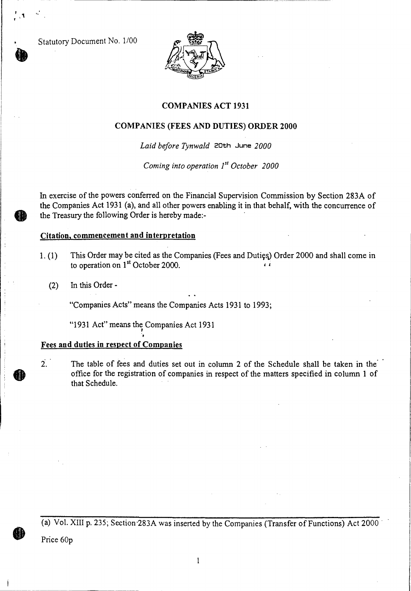Statutory Document No. 1/00



#### **COMPANIES ACT 1931**

#### **COMPANIES (FEES AND DUTIES) ORDER 2000**

*Laid before Tynwald* **20th June** *2000* 

*Coming into operation 1st October 2000* 

In exercise of the powers conferred on the Financial Supervision Commission by Section 283A of the Companies Act 1931 (a), and all other powers enabling it in that behalf, with the concurrence of the Treasury the following Order is hereby made:-

#### **Citation, commencement and interpretation**

- 1. (1) This Order may be cited as the Companies (Fees and Dutig)) Order 2000 and shall come in to operation on 1<sup>st</sup> October 2000.
	- (2) In this Order -

"Companies Acts" means the Companies Acts 1931 to 1993;

"1931 Act" means the Companies Act 1931

#### Fees **and duties in respect of Companies**

**2. The** table of fees and duties set out in column 2 of the Schedule shall be taken in the . that Schedule.

(a) Vol. XIII p. 235; Section•283A was inserted by the Companies (Transfer of Functions) Act 2000

Price 60p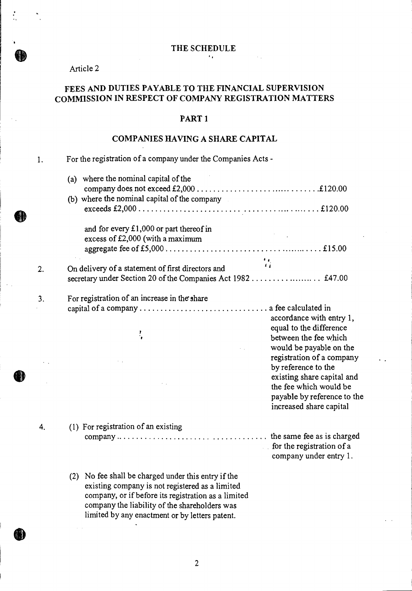$\sim 0.4$  .

 $\mathcal{A}_1$ 

### Article 2

 $\frac{1}{2}$ 

## **FEES AND DUTIES PAYABLE TO THE FINANCIAL SUPERVISION COMMISSION IN RESPECT OF COMPANY REGISTRATION MATTERS**

#### **PART 1**

#### **COMPANIES HAVING A SHARE CAPITAL**

| 1. | For the registration of a company under the Companies Acts -                                                                                                                                                                                                     |                                                                                                                |  |
|----|------------------------------------------------------------------------------------------------------------------------------------------------------------------------------------------------------------------------------------------------------------------|----------------------------------------------------------------------------------------------------------------|--|
|    | (a) where the nominal capital of the<br>(b) where the nominal capital of the company                                                                                                                                                                             |                                                                                                                |  |
|    | and for every $£1,000$ or part thereof in<br>excess of £2,000 (with a maximum                                                                                                                                                                                    |                                                                                                                |  |
| 2. | On delivery of a statement of first directors and                                                                                                                                                                                                                | $\frac{1}{4}$                                                                                                  |  |
| 3. | For registration of an increase in the share                                                                                                                                                                                                                     | accordance with entry 1,<br>equal to the difference                                                            |  |
|    | $\cdot$                                                                                                                                                                                                                                                          | between the fee which<br>would be payable on the<br>registration of a company<br>by reference to the           |  |
|    |                                                                                                                                                                                                                                                                  | existing share capital and<br>the fee which would be<br>payable by reference to the<br>increased share capital |  |
| 4. | (1) For registration of an existing                                                                                                                                                                                                                              | for the registration of a<br>company under entry 1.                                                            |  |
|    | (2) No fee shall be charged under this entry if the<br>existing company is not registered as a limited<br>company, or if before its registration as a limited<br>company the liability of the shareholders was<br>limited by any enactment or by letters patent. |                                                                                                                |  |
|    |                                                                                                                                                                                                                                                                  |                                                                                                                |  |

2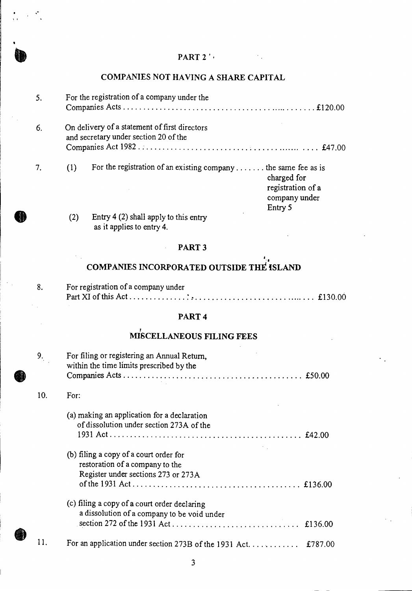## PART  $2^{\prime}$

# COMPANIES NOT HAVING A SHARE CAPITAL

| 5.  | For the registration of a company under the                                                                                            |  |
|-----|----------------------------------------------------------------------------------------------------------------------------------------|--|
| 6.  | On delivery of a statement of first directors<br>and secretary under section 20 of the                                                 |  |
| 7.  | For the registration of an existing company  the same fee as is<br>(1)<br>charged for<br>registration of a<br>company under<br>Entry 5 |  |
|     | Entry $4(2)$ shall apply to this entry<br>(2)<br>as it applies to entry 4.                                                             |  |
|     | PART <sub>3</sub>                                                                                                                      |  |
|     | <b>COMPANIES INCORPORATED OUTSIDE THE ISLAND</b>                                                                                       |  |
| 8.  | For registration of a company under                                                                                                    |  |
|     | PART <sub>4</sub>                                                                                                                      |  |
|     | MISCELLANEOUS FILING FEES                                                                                                              |  |
| 9.  | For filing or registering an Annual Return,<br>within the time limits prescribed by the                                                |  |
| 10. | For:                                                                                                                                   |  |
|     | (a) making an application for a declaration<br>of dissolution under section 273A of the                                                |  |
|     | (b) filing a copy of a court order for<br>restoration of a company to the<br>Register under sections 273 or 273A                       |  |
|     | (c) filing a copy of a court order declaring                                                                                           |  |

 $\mathcal{L}_{\mathcal{A}}$ 

11. For an application under section 273B of the 1931 Act. . . . . . . . . . . . £787.00

section 272 of the 1931 Act  $\ldots$   $\ldots$   $\ldots$   $\ldots$   $\ldots$   $\ldots$   $\ldots$   $\qquad$  £136.00

a dissolution of a company to be void under